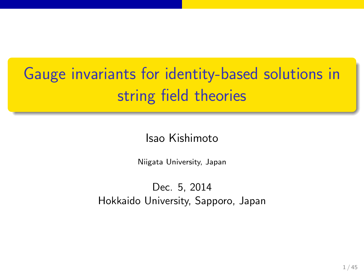## Gauge invariants for identity-based solutions in string field theories

.

Isao Kishimoto

.. .

Niigata University, Japan

Dec. 5, 2014 Hokkaido University, Sapporo, Japan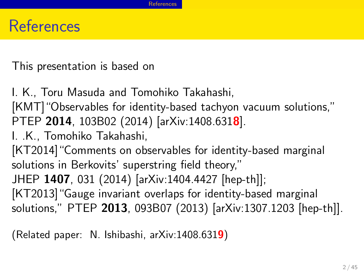#### References

This presentation is based on

I. K., Toru Masuda and Tomohiko Takahashi,

[KMT]"Observables for identity-based tachyon vacuum solutions," PTEP **2014**, 103B02 (2014) [arXiv:1408.631**8**].

I. .K., Tomohiko Takahashi,

[KT2014]"Comments on observables for identity-based marginal solutions in Berkovits' superstring field theory,"

JHEP **1407**, 031 (2014) [arXiv:1404.4427 [hep-th]];

[KT2013]"Gauge invariant overlaps for identity-based marginal solutions," PTEP **2013**, 093B07 (2013) [arXiv:1307.1203 [hep-th]].

(Related paper: N. Ishibashi, arXiv:1408.631**9**)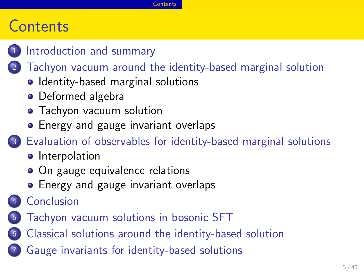#### **Contents**

- 1 Introduction and summary
- 2 Tachyon vacuum around the identity-based marginal solution

**Contents** 

- Identity-based marginal solutions
- Deformed algebra
- **•** Tachyon vacuum solution
- **•** Energy and gauge invariant overlaps
- . . .<sup>3</sup> Evaluation of observables for identity-based marginal solutions
	- **·** Interpolation
	- On gauge equivalence relations
	- **•** Energy and gauge invariant overlaps
- 4 Conclusion
- . . .<sup>5</sup> Tachyon vacuum solutions in bosonic SFT
- . . .<sup>6</sup> Classical solutions around the identity-based solution
- . . .<sup>7</sup> Gauge invariants for identity-based solutions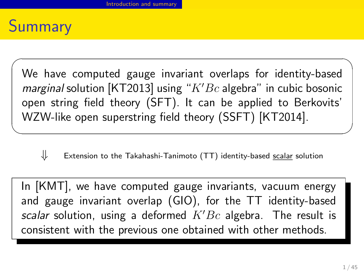

We have computed gauge invariant overlaps for identity-based *marginal* solution [KT2013] using "*K′Bc* algebra" in cubic bosonic open string field theory (SFT). It can be applied to Berkovits' WZW-like open superstring field theory (SSFT) [KT2014].

✓ ✏

*⇓* Extension to the Takahashi-Tanimoto (TT) identity-based scalar solution

 $\qquad \qquad$ 

In [KMT], we have computed gauge invariants, vacuum energy and gauge invariant overlap (GIO), for the TT identity-based *scalar* solution, using a deformed *K′Bc* algebra. The result is consistent with the previous one obtained with other methods.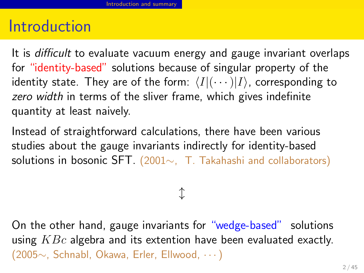#### **Introduction**

It is *difficult* to evaluate vacuum energy and gauge invariant overlaps for "identity-based" solutions because of singular property of the identity state. They are of the form:  $\langle I|(\cdots)|I\rangle$ , corresponding to *zero width* in terms of the sliver frame, which gives indefinite quantity at least naively.

Instead of straightforward calculations, there have been various studies about the gauge invariants indirectly for identity-based solutions in bosonic SFT. (2001*∼*, T. Takahashi and collaborators)

*↕*

On the other hand, gauge invariants for "wedge-based" solutions using *KBc* algebra and its extention have been evaluated exactly. (2005*∼*, Schnabl, Okawa, Erler, Ellwood, *· · ·*)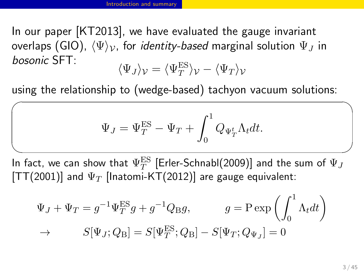$\sqrt{2}$ 

In our paper [KT2013], we have evaluated the gauge invariant overlaps (GIO),  $\langle \Psi \rangle_{\mathcal{V}}$ , for *identity-based* marginal solution  $\Psi_J$  in *bosonic* SFT· *bosonic* SFT:  $\langle \Psi_J \rangle_{\mathcal{V}} = \langle \Psi_T^\mathrm{ES} \rangle_{\mathcal{V}} - \langle \Psi_T \rangle_{\mathcal{V}}$ 

using the relationship to (wedge-based) tachyon vacuum solutions:

$$
\Psi_J = \Psi_T^{\text{ES}} - \Psi_T + \int_0^1 Q_{\Psi_T^t} \Lambda_t dt.
$$

 $\overline{\phantom{a}}$ In fact, we can show that  $\Psi_T^{\text{ES}}$  [Erler-Schnabl(2009)] and the sum of  $\Psi_J$ [TT(2001)] and  $\Psi_T$  [Inatomi-KT(2012)] are gauge equivalent:

$$
\Psi_J + \Psi_T = g^{-1} \Psi_T^{\text{ES}} g + g^{-1} Q_{\text{B}} g, \qquad g = \text{P} \exp\left(\int_0^1 \Lambda_t dt\right)
$$

$$
\to \qquad S[\Psi_J; Q_{\text{B}}] = S[\Psi_T^{\text{ES}}; Q_{\text{B}}] - S[\Psi_T; Q_{\Psi_J}] = 0
$$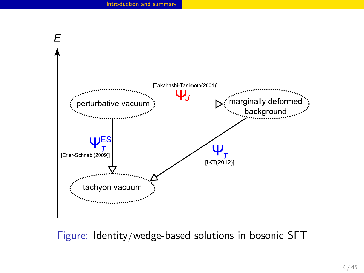

Figure: Identity/wedge-based solutions in bosonic SFT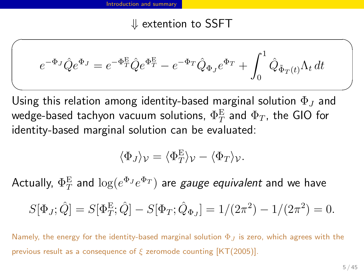#### *⇓* extention to SSFT

 $\sqrt{2\pi}$ 

$$
e^{-\Phi_J}\hat{Q}e^{\Phi_J} = e^{-\Phi_T^E}\hat{Q}e^{\Phi_T^E} - e^{-\Phi_T}\hat{Q}_{\Phi_J}e^{\Phi_T} + \int_0^1 \hat{Q}_{\tilde{\Phi}_T(t)}\Lambda_t dt
$$

 $\qquad \qquad$ Using this relation among identity-based marginal solution Φ*<sup>J</sup>* and wedge-based tachyon vacuum solutions,  $\Phi_T^\mathrm{E}$  and  $\Phi_T$ , the GIO for identity-based marginal solution can be evaluated:

$$
\langle \Phi_J \rangle_{\mathcal{V}} = \langle \Phi_T^{\mathcal{E}} \rangle_{\mathcal{V}} - \langle \Phi_T \rangle_{\mathcal{V}}.
$$

 $\mathsf{Actually,}\ \Phi_T^\mathrm{E}$  and  $\log(e^{\Phi_J}e^{\Phi_T})$  are *gauge equivalent* and we have

$$
S[\Phi_J; \hat{Q}] = S[\Phi_T^{\mathcal{E}}; \hat{Q}] - S[\Phi_T; \hat{Q}_{\Phi_J}] = 1/(2\pi^2) - 1/(2\pi^2) = 0.
$$

Namely, the energy for the identity-based marginal solution Φ*<sup>J</sup>* is zero, which agrees with the previous result as a consequence of *ξ* zeromode counting [KT(2005)].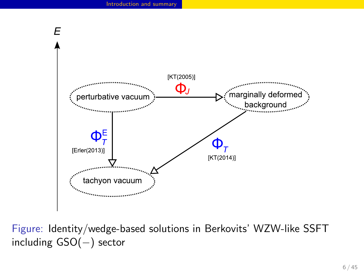

Figure: Identity/wedge-based solutions in Berkovits' WZW-like SSFT including GSO(*−*) sector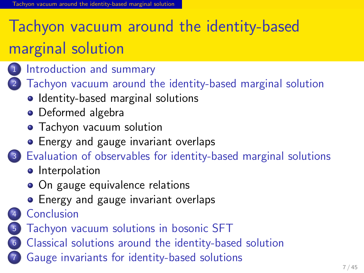## Tachyon vacuum around the identity-based marginal solution

- 1 Introduction and summary
- 2 Tachyon vacuum around the identity-based marginal solution
	- Identity-based marginal solutions

yon vacuum around the identity-based marginal solution

- Deformed algebra
- Tachyon vacuum solution
- **•** Energy and gauge invariant overlaps
- . . .<sup>3</sup> Evaluation of observables for identity-based marginal solutions
	- **·** Interpolation
	- On gauge equivalence relations
	- Energy and gauge invariant overlaps
- 4 Conclusion
- . . .<sup>5</sup> Tachyon vacuum solutions in bosonic SFT
- . . .<sup>6</sup> Classical solutions around the identity-based solution
- . . .<sup>7</sup> Gauge invariants for identity-based solutions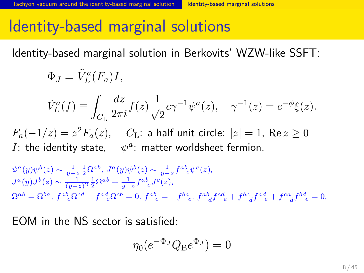## Identity-based marginal solutions

Identity-based marginal solution in Berkovits' WZW-like SSFT:

$$
\Phi_J = \tilde{V}_L^a(F_a)I,
$$

$$
\tilde{V}_L^a(f) \equiv \int_{C_{\rm L}} \frac{dz}{2\pi i} f(z) \frac{1}{\sqrt{2}} c \gamma^{-1} \psi^a(z), \quad \gamma^{-1}(z) = e^{-\phi} \xi(z).
$$

*F*<sub>a</sub>(−1/*z*) = *z*<sup>2</sup>*F*<sub>a</sub>(*z*), *C*<sub>L</sub>: a half unit circle:  $|z|=1$ , Re  $z≥0$ *I*: the identity state,  $\psi^a$ : matter worldsheet fermion.

$$
\psi^{a}(y)\psi^{b}(z) \sim \frac{1}{y-z} \frac{1}{2} \Omega^{ab}, J^{a}(y)\psi^{b}(z) \sim \frac{1}{y-z} f^{ab}_{c} \psi^{c}(z),
$$
  
\n
$$
J^{a}(y)J^{b}(z) \sim \frac{1}{(y-z)^{2}} \frac{1}{2} \Omega^{ab} + \frac{1}{y-z} f^{ab}_{c} J^{c}(z),
$$
  
\n
$$
\Omega^{ab} = \Omega^{ba}, f^{ab}_{c} \Omega^{cd} + f^{ad}_{c} \Omega^{cb} = 0, f^{ab}_{c} = -f^{ba}_{c}, f^{ab}_{d} f^{cd}_{e} + f^{bc}_{d} f^{ad}_{e} + f^{ca}_{d} f^{bd}_{e} = 0.
$$

EOM in the NS sector is satisfied:

$$
\eta_0(e^{-\Phi_J}Q_{\text{B}}e^{\Phi_J})=0
$$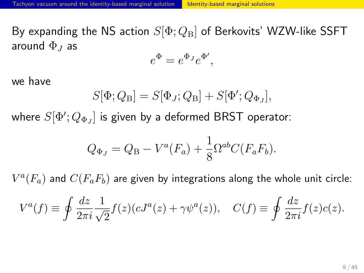By expanding the NS action *S*[Φ; *Q*B] of Berkovits' WZW-like SSFT around Φ*<sup>J</sup>* as

$$
e^{\Phi} = e^{\Phi_J} e^{\Phi'},
$$

we have

$$
S[\Phi;Q_{\rm B}]=S[\Phi_J;Q_{\rm B}]+S[\Phi';Q_{\Phi_J}],
$$

where  $S[\Phi';Q_{\Phi_J}]$  is given by a deformed BRST operator:

$$
Q_{\Phi_J} = Q_{\rm B} - V^a(F_a) + \frac{1}{8} \Omega^{ab} C(F_a F_b).
$$

 $V^a(F_a)$  and  $C(F_aF_b)$  are given by integrations along the whole unit circle:

$$
V^{a}(f) \equiv \oint \frac{dz}{2\pi i} \frac{1}{\sqrt{2}} f(z) (cJ^{a}(z) + \gamma \psi^{a}(z)), \quad C(f) \equiv \oint \frac{dz}{2\pi i} f(z) c(z).
$$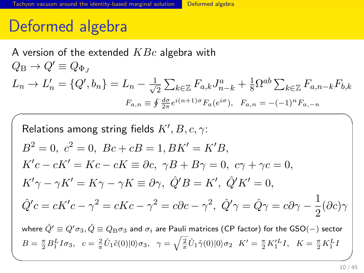#### Deformed algebra

A version of the extended *KBc* algebra with  $Q_{\rm B} \rightarrow Q' \equiv Q_{\Phi}$  $L_n \to L'_n = \{Q', b_n\} = L_n - \frac{1}{\sqrt{n}}$  $\frac{1}{2}$   $\sum_{k \in \mathbb{Z}} F_{a,k} J_{n-k}^a + \frac{1}{8} \Omega^{ab} \sum_{k \in \mathbb{Z}} F_{a,n-k} F_{b,k}$  $F_{a,n} \equiv \oint \frac{d\sigma}{2\pi} e^{i(n+1)\sigma} F_a(e^{i\sigma}), \quad F_{a,n} = -(-1)^n F_{a,-n}$ 

Relationships among string fields 
$$
K', B, c, \gamma
$$
:

\n
$$
B^2 = 0, \ c^2 = 0, \ Bc + cB = 1, BK' = K'B,
$$
\n
$$
K'c - cK' = Kc - cK \equiv \partial c, \ \gamma B + B\gamma = 0, \ c\gamma + \gamma c = 0,
$$
\n
$$
K'\gamma - \gamma K' = K\gamma - \gamma K \equiv \partial \gamma, \ \hat{Q}'B = K', \ \hat{Q}'K' = 0,
$$
\n
$$
\hat{Q}'c = cK'c - \gamma^2 = cKc - \gamma^2 = c\partial c - \gamma^2, \ \hat{Q}'\gamma = \hat{Q}\gamma = c\partial \gamma - \frac{1}{2}(\partial c)\gamma
$$
\nwhere  $\hat{Q}' \equiv Q'\sigma_3$ ,  $\hat{Q} \equiv Q_{\text{B}}\sigma_3$  and  $\sigma_i$  are Pauli matrices (CP factor) for the GSO(-) sector  $B = \frac{\pi}{2}B_1^L I \sigma_3$ ,  $c = \frac{2}{\pi}\hat{U}_1\tilde{c}(0)|0\rangle\sigma_3$ ,  $\gamma = \sqrt{\frac{2}{\pi}}\hat{U}_1\tilde{\gamma}(0)|0\rangle\sigma_2$ 

\n
$$
K' = \frac{\pi}{2}K_1^L I, \ K = \frac{\pi}{2}K_1^L I
$$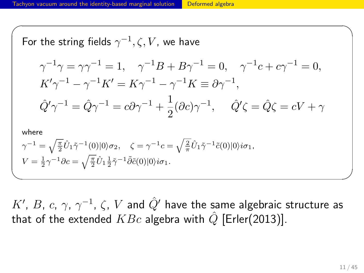For the string fields 
$$
\gamma^{-1}
$$
,  $\zeta$ ,  $V$ , we have  
\n
$$
\gamma^{-1}\gamma = \gamma\gamma^{-1} = 1, \quad \gamma^{-1}B + B\gamma^{-1} = 0, \quad \gamma^{-1}c + c\gamma^{-1} = 0,
$$
\n
$$
K'\gamma^{-1} - \gamma^{-1}K' = K\gamma^{-1} - \gamma^{-1}K \equiv \partial \gamma^{-1},
$$
\n
$$
\hat{Q}'\gamma^{-1} = \hat{Q}\gamma^{-1} = c\partial \gamma^{-1} + \frac{1}{2}(\partial c)\gamma^{-1}, \quad \hat{Q}'\zeta = \hat{Q}\zeta = cV + \gamma
$$
\nwhere  
\n
$$
\gamma^{-1} = \sqrt{\frac{\pi}{2}}\hat{U}_1\tilde{\gamma}^{-1}(0)|0\rangle\sigma_2, \quad \zeta = \gamma^{-1}c = \sqrt{\frac{2}{\pi}}\hat{U}_1\tilde{\gamma}^{-1}\tilde{c}(0)|0\rangle i\sigma_1,
$$
\n
$$
V = \frac{1}{2}\gamma^{-1}\partial c = \sqrt{\frac{\pi}{2}}\hat{U}_1\frac{1}{2}\tilde{\gamma}^{-1}\tilde{\partial}\tilde{c}(0)|0\rangle i\sigma_1.
$$

 $K'$ , *B*, *c*, *γ*,  $\gamma^{-1}$ , *ζ*,  $V$  and  $\hat{Q}'$  have the same algebraic structure as that of the extended  $KBc$  algebra with  $\hat{Q}$  [Erler(2013)].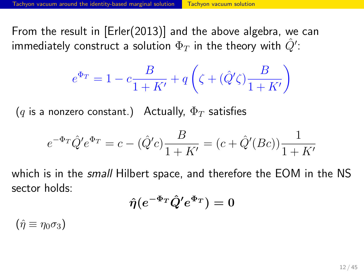From the result in [Erler(2013)] and the above algebra, we can immediately construct a solution  $\Phi_T$  in the theory with  $\hat{Q}'$ :

$$
e^{\Phi_T} = 1 - c\frac{B}{1+K'} + q\left(\zeta + (\hat Q'\zeta)\frac{B}{1+K'}\right)
$$

 $(q$  is a nonzero constant.) Actually,  $\Phi_T$  satisfies

$$
e^{-\Phi_T} \hat{Q}' e^{\Phi_T} = c - (\hat{Q}'c) \frac{B}{1 + K'} = (c + \hat{Q}'(Bc)) \frac{1}{1 + K'}
$$

which is in the *small* Hilbert space, and therefore the EOM in the NS sector holds:

$$
\hat{\eta}(e^{-\Phi_T}\hat{Q}'e^{\Phi_T})=0
$$

 $(\hat{\eta} \equiv \eta_0 \sigma_3)$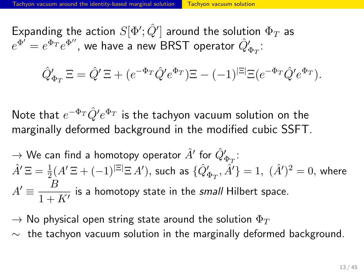Expanding the action  $S[\Phi'; \hat{Q}']$  around the solution  $\Phi_T$  as  $e^{\Phi'}=e^{\Phi_T}e^{\Phi''}$ , we have a new BRST operator  $\hat{Q'}_{\Phi_T}$ :

$$
\hat{Q}'_{\Phi_T} \Xi = \hat{Q}' \Xi + (e^{-\Phi_T} \hat{Q}' e^{\Phi_T}) \Xi - (-1)^{|\Xi|} \Xi (e^{-\Phi_T} \hat{Q}' e^{\Phi_T}).
$$

Note that *e <sup>−</sup>*Φ*<sup>T</sup> Q*ˆ*′ e* <sup>Φ</sup>*<sup>T</sup>* is the tachyon vacuum solution on the marginally deformed background in the modified cubic SSFT.

- $\rightarrow$  We can find a homotopy operator  $\hat{A}'$  for  $\hat{Q}'_{\Phi_T}$ :  $\hat{A}'\,\Xi=\frac{1}{2}(A'\,\Xi+(-1)^{|\Xi|}\Xi\,A'),$  such as  $\{\hat{Q}'_{\Phi_T},\hat{A}'\}=1,\,\,(\hat{A}')^2=0,$  where  $A' \equiv \frac{B}{1}$  $\frac{2}{1 + K'}$  is a homotopy state in the *small* Hilbert space.
- $\rightarrow$  No physical open string state around the solution  $\Phi_T$
- *∼* the tachyon vacuum solution in the marginally deformed background.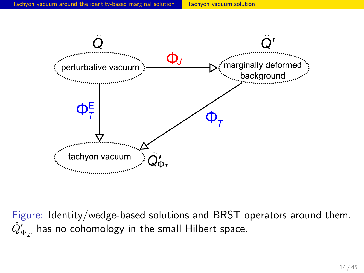

Figure: Identity/wedge-based solutions and BRST operators around them.  $\hat{Q}'_{\Phi_T}$  has no cohomology in the small Hilbert space.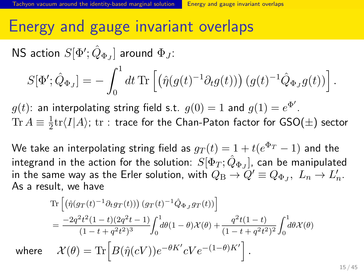#### Energy and gauge invariant overlaps

 $\mathsf{NS}\xspace$  action  $S[\Phi'; \hat{Q}_{\Phi_J}]$  around  $\Phi_J$ :

$$
S[\Phi'; \hat{Q}_{\Phi_J}] = -\int_0^1 dt \,\text{Tr}\left[\left(\hat{\eta}(g(t)^{-1}\partial_t g(t))\right)(g(t)^{-1}\hat{Q}_{\Phi_J}g(t))\right]
$$

 $g(t)$ : an interpolating string field s.t.  $g(0)=1$  and  $g(1)=e^{\Phi'}$ .  $\text{Tr } A \equiv \frac{1}{2}$ 2 tr*⟨I|A⟩*; tr : trace for the Chan-Paton factor for GSO(*±*) sector

We take an interpolating string field as  $g_T(t) = 1 + t(e^{\Phi_T} - 1)$  and the integrand in the action for the solution:  $S[\Phi_{T}; \hat{Q}_{\Phi_{J}}]$ , can be manipulated in the same way as the Erler solution, with  $Q_{\text{B}} \to Q' \equiv Q_{\Phi_J}, \ L_n \to L'_n.$ As a result, we have

$$
\operatorname{Tr}\left[\left(\hat{\eta}(g_T(t)^{-1}\partial_t g_T(t))\right)(g_T(t)^{-1}\hat{Q}_{\Phi_J}g_T(t))\right]
$$
\n
$$
=\frac{-2q^2t^2(1-t)(2q^2t-1)}{(1-t+q^2t^2)^3}\int_0^1 d\theta(1-\theta)\mathcal{X}(\theta) + \frac{q^2t(1-t)}{(1-t+q^2t^2)^2}\int_0^1 d\theta\mathcal{X}(\theta)
$$
\nwhere\n
$$
\mathcal{X}(\theta) = \operatorname{Tr}\left[B(\hat{\eta}(cV))e^{-\theta K'}cVe^{-(1-\theta)K'}\right].
$$

*.*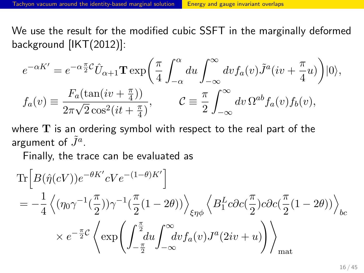We use the result for the modified cubic SSFT in the marginally deformed background [IKT(2012)]:

$$
e^{-\alpha K'} = e^{-\alpha \frac{\pi}{2}C} \hat{U}_{\alpha+1} \mathbf{T} \exp\left(\frac{\pi}{4} \int_{-\alpha}^{\alpha} du \int_{-\infty}^{\infty} dv f_a(v) \tilde{J}^a(iv + \frac{\pi}{4}u)\right)|0\rangle,
$$
  

$$
f_a(v) \equiv \frac{F_a(\tan(iv + \frac{\pi}{4}))}{2\pi\sqrt{2}\cos^2(it + \frac{\pi}{4})}, \qquad C \equiv \frac{\pi}{2} \int_{-\infty}^{\infty} dv \, \Omega^{ab} f_a(v) f_b(v),
$$

where **T** is an ordering symbol with respect to the real part of the argument of  $\tilde{J}^a$ .

Finally, the trace can be evaluated as

$$
\begin{split} \operatorname{Tr}\Big[& B(\hat{\eta}(cV))e^{-\theta K'}cVe^{-(1-\theta)K'}\Big] \\ & = -\frac{1}{4}\left\langle (\eta_0\gamma^{-1}(\frac{\pi}{2}))\gamma^{-1}(\frac{\pi}{2}(1-2\theta))\right\rangle_{\xi\eta\phi}\left\langle B_1^Lc\partial c(\frac{\pi}{2})c\partial c(\frac{\pi}{2}(1-2\theta))\right\rangle_{bc} \\ & \times e^{-\frac{\pi}{2}C}\left\langle \exp\left(\int_{-\frac{\pi}{2}}^{\frac{\pi}{2}}\!\! du \int_{-\infty}^{\infty}\!\! dv f_a(v)J^a(2iv+u)\right)\right\rangle_{\text{mat}} \end{split}
$$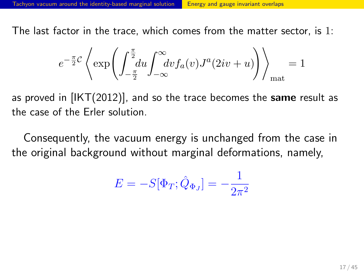The last factor in the trace, which comes from the matter sector, is 1:

$$
e^{-\frac{\pi}{2}C}\left\langle \exp\left(\int_{-\frac{\pi}{2}}^{\frac{\pi}{2}}\!\! du \int_{-\infty}^{\infty}\!\! dv f_a(v)J^a(2iv+u)\right)\right\rangle_{\text{mat}}=1
$$

as proved in [IKT(2012)], and so the trace becomes the **same** result as the case of the Erler solution.

Consequently, the vacuum energy is unchanged from the case in the original background without marginal deformations, namely,

$$
E = -S[\Phi_T; \hat{Q}_{\Phi_J}] = -\frac{1}{2\pi^2}
$$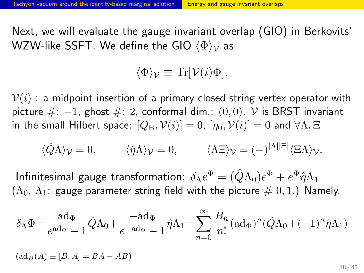Next, we will evaluate the gauge invariant overlap (GIO) in Berkovits' WZW-like SSFT. We define the GIO *⟨*Φ*⟩<sup>V</sup>* as

$$
\langle \Phi \rangle_{\mathcal{V}} \equiv \text{Tr}[\mathcal{V}(i)\Phi].
$$

 $V(i)$ : a midpoint insertion of a primary closed string vertex operator with picture #: *−*1, ghost #: 2, conformal dim.: (0*,* 0). *V* is BRST invariant in the small Hilbert space:  $[Q_B, V(i)] = 0$ ,  $[\eta_0, V(i)] = 0$  and  $\forall \Lambda, \Xi$ 

$$
\langle \hat{Q} \Lambda \rangle_{\mathcal{V}} = 0, \qquad \langle \hat{\eta} \Lambda \rangle_{\mathcal{V}} = 0, \qquad \langle \Lambda \Xi \rangle_{\mathcal{V}} = (-)^{|\Lambda||\Xi|} \langle \Xi \Lambda \rangle_{\mathcal{V}}.
$$

 ${\mathsf{Infinitesimal}}$  gauge transformation:  $\delta_\Lambda e^\Phi = (\hat{Q}\Lambda_0) e^\Phi + e^\Phi \hat{\eta} \Lambda_1$  $(\Lambda_0, \Lambda_1)$ : gauge parameter string field with the picture  $\#$  0, 1.) Namely,

$$
\delta_{\Lambda}\Phi = \frac{\mathrm{ad}_{\Phi}}{e^{\mathrm{ad}_{\Phi}}-1}\hat{Q}\Lambda_0 + \frac{-\mathrm{ad}_{\Phi}}{e^{-\mathrm{ad}_{\Phi}}-1}\hat{\eta}\Lambda_1 = \sum_{n=0}^{\infty} \frac{B_n}{n!}(\mathrm{ad}_{\Phi})^n(\hat{Q}\Lambda_0 + (-1)^n\hat{\eta}\Lambda_1)
$$

 $(\text{ad}_B(A) \equiv [B, A] = BA - AB)$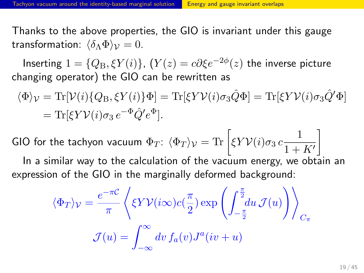$\textsf{Inserting 1}=\{Q_{\text{B}},\xi Y(i)\},\ (Y(z)=c\partial \xi e^{-2\phi}(z) \ \textsf{the inverse picture}$ changing operator) the GIO can be rewritten as

 $\langle \Phi \rangle_{\mathcal{V}} = \text{Tr}[\mathcal{V}(i)\{Q_{\text{B}}, \xi Y(i)\} \Phi] = \text{Tr}[\xi Y \mathcal{V}(i) \sigma_3 \hat{Q} \Phi] = \text{Tr}[\xi Y \mathcal{V}(i) \sigma_3 \hat{Q}' \Phi]$  $=$ Tr[ $\xi Y \mathcal{V}(i) \sigma_3 e^{-\Phi} \hat{Q}' e^{\Phi}$ ].

GIO for the tachyon vacuum  $\Phi_T$ :  $\langle \Phi_T \rangle_{\mathcal{V}} = \text{Tr} \left[ \xi Y \mathcal{V}(i) \sigma_3 \, c \frac{1}{1+\epsilon} \right]$  $1 + K'$ ]

In a similar way to the calculation of the vacuum energy, we obtain an expression of the GIO in the marginally deformed background:

$$
\langle \Phi_T \rangle_{\mathcal{V}} = \frac{e^{-\pi C}}{\pi} \left\langle \xi Y \mathcal{V}(i\infty) c(\frac{\pi}{2}) \exp\left(\int_{-\frac{\pi}{2}}^{\frac{\pi}{2}} du \mathcal{J}(u)\right) \right\rangle_{C_{\pi}}
$$

$$
\mathcal{J}(u) = \int_{-\infty}^{\infty} dv \, f_a(v) J^a(iv+u)
$$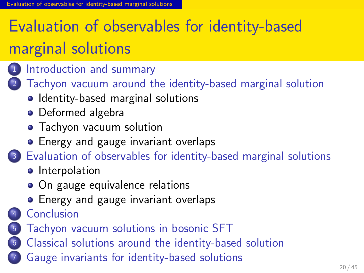# Evaluation of observables for identity-based marginal solutions

## 1 Introduction and summary

Evaluation of observables for identity-based marginal solutions

- 2 Tachyon vacuum around the identity-based marginal solution
	- Identity-based marginal solutions
	- **·** Deformed algebra
	- Tachyon vacuum solution
	- Energy and gauge invariant overlaps
- . . .<sup>3</sup> Evaluation of observables for identity-based marginal solutions
	- **·** Interpolation
	- On gauge equivalence relations
	- **•** Energy and gauge invariant overlaps
- 4 Conclusion
- . . .<sup>5</sup> Tachyon vacuum solutions in bosonic SFT
- . . .<sup>6</sup> Classical solutions around the identity-based solution
- . . .<sup>7</sup> Gauge invariants for identity-based solutions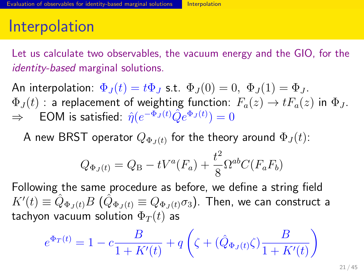## Interpolation

Let us calculate two observables, the vacuum energy and the GIO, for the *identity-based* marginal solutions.

An interpolation:  $\Phi_J(t) = t \Phi_J$  s.t.  $\Phi_J(0) = 0$ ,  $\Phi_J(1) = \Phi_J$ .  $\Phi_J(t)$ : a replacement of weighting function:  $F_a(z) \to tF_a(z)$  in  $\Phi_J$ .  $\Rightarrow$   $\quad$  EOM is satisfied:  $\hat{\eta}(e^{-\Phi_J(t)}\hat{Q}e^{\Phi_J(t)})=0$ 

A new BRST operator  $Q_{\Phi_J(t)}$  for the theory around  $\Phi_J(t)$ :

$$
Q_{\Phi_J(t)} = Q_{\rm B} - tV^a(F_a) + \frac{t^2}{8} \Omega^{ab} C(F_a F_b)
$$

Following the same procedure as before, we define a string field  $K'(t)\equiv \hat{Q}_{\Phi_J(t)}B\,\,(\hat{Q}_{\Phi_J(t)}\equiv Q_{\Phi_J(t)}\sigma_3).$  Then, we can construct a tachyon vacuum solution  $\Phi_T(t)$  as

$$
e^{\Phi_T(t)} = 1 - c \frac{B}{1 + K'(t)} + q \left( \zeta + (\hat{Q}_{\Phi_J(t)} \zeta) \frac{B}{1 + K'(t)} \right)
$$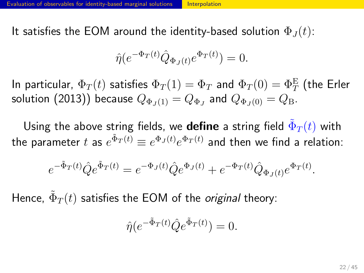It satisfies the EOM around the identity-based solution  $\Phi_J(t)$ :

$$
\hat{\eta}(e^{-\Phi_T(t)}\hat{Q}_{\Phi_J(t)}e^{\Phi_T(t)}) = 0.
$$

In particular,  $\Phi_T(t)$  satisfies  $\Phi_T(1)=\Phi_T$  and  $\Phi_T(0)=\Phi_T^\mathrm{E}$  (the Erler solution  $(2013))$  because  $Q_{\Phi_J(1)} = Q_{\Phi_J}$  and  $Q_{\Phi_J(0)} = Q_{\rm B}.$ 

Using the above string fields, we  $\operatorname{\mathsf{define}}$  a string field  $\tilde{\Phi}_T(t)$  with the parameter  $t$  as  $e^{\tilde{\Phi}_T(t)} \equiv e^{\Phi_J(t)} e^{\Phi_T(t)}$  and then we find a relation:

$$
e^{-\tilde{\Phi}_T(t)}\hat{Q}e^{\tilde{\Phi}_T(t)} = e^{-\Phi_J(t)}\hat{Q}e^{\Phi_J(t)} + e^{-\Phi_T(t)}\hat{Q}_{\Phi_J(t)}e^{\Phi_T(t)}.
$$

Hence,  $\tilde{\Phi}_T(t)$  satisfies the EOM of the *original* theory:

$$
\hat{\eta}(e^{-\tilde{\Phi}_T(t)}\hat{Q}e^{\tilde{\Phi}_T(t)}) = 0.
$$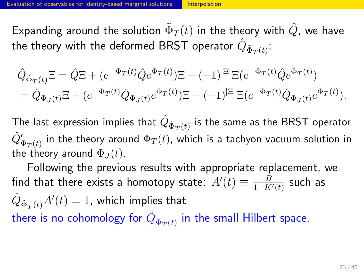Expanding around the solution  $\tilde{\Phi}_T(t)$  in the theory with  $\hat{Q}$ , we have the theory with the deformed BRST operator  $\hat{Q}_{\tilde{\Phi}_T(t)}$ :

$$
\begin{split} &\hat{Q}_{\tilde{\Phi}_{T}(t)}\Xi = \hat{Q}\Xi + (e^{-\tilde{\Phi}_{T}(t)}\hat{Q}e^{\tilde{\Phi}_{T}(t)})\Xi - (-1)^{|\Xi|}\Xi(e^{-\tilde{\Phi}_{T}(t)}\hat{Q}e^{\tilde{\Phi}_{T}(t)}) \\ &= \hat{Q}_{\Phi_{J}(t)}\Xi + (e^{-\Phi_{T}(t)}\hat{Q}_{\Phi_{J}(t)}e^{\Phi_{T}(t)})\Xi - (-1)^{|\Xi|}\Xi(e^{-\Phi_{T}(t)}\hat{Q}_{\Phi_{J}(t)}e^{\Phi_{T}(t)}). \end{split}
$$

The last expression implies that  $\hat{Q}_{\tilde{\Phi}_T(t)}$  is the same as the BRST operator  $\hat{Q'}_{\Phi_T(t)}'$  in the theory around  $\Phi_T(t)$ , which is a tachyon vacuum solution in the theory around  $\Phi_J(t)$ .

Following the previous results with appropriate replacement, we find that there exists a homotopy state:  $A'(t) \equiv \frac{B}{1+K}$  $\frac{B}{1+K'(t)}$  such as  $\hat{Q}_{\tilde{\Phi}_T(t)} A'(t) = 1$ , which implies that there is no cohomology for  $\hat{Q}_{\tilde{\Phi}_T(t)}$  in the small Hilbert space.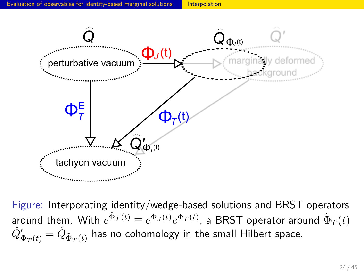

Figure: Interporating identity/wedge-based solutions and BRST operators around them. With  $e^{\tilde{\Phi}_T(t)} \equiv e^{\Phi_J(t)} e^{\Phi_T(t)}$ , a BRST operator around  $\tilde{\Phi}_T(t)$  $\hat{Q'}_{\Phi_T(t)}' = \hat{Q}_{\tilde{\Phi}_T(t)}$  has no cohomology in the small Hilbert space.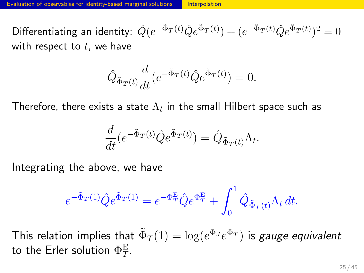${\rm Differentiating}$  an identity:  $\hat{Q}(e^{-\tilde{\Phi}_T(t)}\hat{Q}e^{\tilde{\Phi}_T(t)})+(e^{-\tilde{\Phi}_T(t)}\hat{Q}e^{\tilde{\Phi}_T(t)})^2=0$ with respect to *t*, we have

$$
\hat{Q}_{\tilde{\Phi}_T(t)} \frac{d}{dt} (e^{-\tilde{\Phi}_T(t)} \hat{Q} e^{\tilde{\Phi}_T(t)}) = 0.
$$

Therefore, there exists a state  $\Lambda_t$  in the small Hilbert space such as

$$
\frac{d}{dt}\left(e^{-\tilde{\Phi}_T(t)}\hat{Q}e^{\tilde{\Phi}_T(t)}\right) = \hat{Q}_{\tilde{\Phi}_T(t)}\Lambda_t.
$$

Integrating the above, we have

$$
e^{-\tilde{\Phi}_T(1)}\hat{Q}e^{\tilde{\Phi}_T(1)} = e^{-\Phi_T^{\mathcal{E}}} \hat{Q}e^{\Phi_T^{\mathcal{E}}} + \int_0^1 \hat{Q}_{\tilde{\Phi}_T(t)}\Lambda_t dt.
$$

This relation implies that  $\tilde{\Phi}_T(1) = \log(e^{\Phi_J} e^{\Phi_T})$  is *gauge equivalent* to the Erler solution  $\Phi^{\rm E}_{T}$ .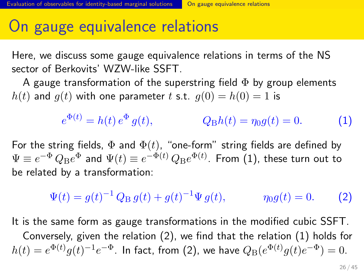#### On gauge equivalence relations

Here, we discuss some gauge equivalence relations in terms of the NS sector of Berkovits' WZW-like SSFT.

bservables for identity-based marginal solutions **O**n gauge equivalence relations

A gauge transformation of the superstring field  $\Phi$  by group elements  $h(t)$  and  $g(t)$  with one parameter *t* s.t.  $g(0) = h(0) = 1$  is

$$
e^{\Phi(t)} = h(t) e^{\Phi} g(t), \qquad Q_{\rm B}h(t) = \eta_0 g(t) = 0. \tag{1}
$$

For the string fields,  $\Phi$  and  $\Phi(t)$ , "one-form" string fields are defined by  $\Psi \equiv e^{-\Phi}\,Q_\text{B}e^{\Phi}$  and  $\Psi(t) \equiv e^{-\Phi(t)}\,Q_\text{B}e^{\Phi(t)}.$  From (1), these turn out to be related by a transformation:

> $\Psi(t) = g(t)^{-1} Q_B g(t) + g(t)$  $\eta_0 g(t) = 0.$  (2)

It is the same form as gauge transformations in the modified cubic SSFT.

Conversely, given the relation (2), we find that the relation (1) holds for  $h(t)=e^{\Phi(t)}g(t)^{-1}e^{-\Phi}.$  In fact, from (2), we have  $Q_\text{B}(e^{\Phi(t)}g(t)e^{-\Phi})=0.$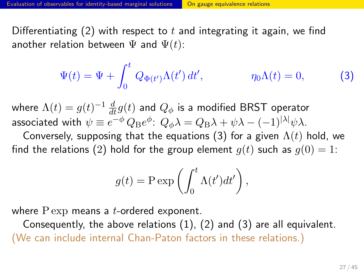#### Evaluation of observables for identity-based marginal solutions **On gauge equivalence relations**

Differentiating (2) with respect to *t* and integrating it again, we find another relation between  $\Psi$  and  $\Psi(t)$ :

$$
\Psi(t) = \Psi + \int_0^t Q_{\Phi(t')} \Lambda(t') dt', \qquad \eta_0 \Lambda(t) = 0,
$$
\n(3)

where  $\Lambda(t)=g(t)^{-1}\,\frac{d}{dt}g(t)$  and  $Q_\phi$  is a modified BRST operator associated with  $\psi \equiv e^{-\phi}\,Q_\text{B}e^{\phi}\!:\,Q_\phi\lambda = Q_\text{B}\lambda + \psi\lambda - (-1)^{|\lambda|}\psi\lambda.$ 

Conversely, supposing that the equations (3) for a given  $\Lambda(t)$  hold, we find the relations (2) hold for the group element  $g(t)$  such as  $g(0) = 1$ :

$$
g(t) = P \exp\left(\int_0^t \Lambda(t')dt'\right),\,
$$

where P exp means a *t*-ordered exponent.

Consequently, the above relations (1), (2) and (3) are all equivalent. (We can include internal Chan-Paton factors in these relations.)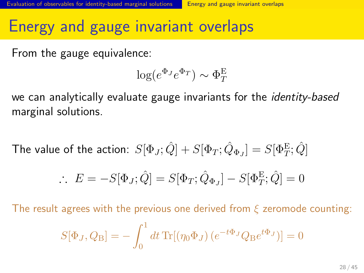#### Energy and gauge invariant overlaps

From the gauge equivalence:

$$
\log(e^{\Phi_J}e^{\Phi_T}) \sim \Phi_T^{\text{E}}
$$

we can analytically evaluate gauge invariants for the *identity-based* marginal solutions.

The value of the action: 
$$
S[\Phi_J; \hat{Q}] + S[\Phi_T; \hat{Q}_{\Phi_J}] = S[\Phi_T^E; \hat{Q}]
$$
  
\n
$$
\therefore E = -S[\Phi_J; \hat{Q}] = S[\Phi_T; \hat{Q}_{\Phi_J}] - S[\Phi_T^E; \hat{Q}] = 0
$$

The result agrees with the previous one derived from *ξ* zeromode counting:

$$
S[\Phi_J, Q_B] = -\int_0^1 dt \, \text{Tr}[(\eta_0 \Phi_J) (e^{-t\Phi_J} Q_B e^{t\Phi_J})] = 0
$$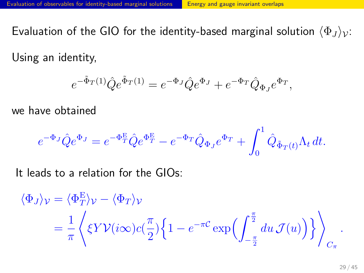Evaluation of the GIO for the identity-based marginal solution  $\langle \Phi_J \rangle_{\mathcal{V}}$ :

Using an identity,

$$
e^{-\tilde{\Phi}_T(1)}\hat{Q}e^{\tilde{\Phi}_T(1)} = e^{-\Phi_J}\hat{Q}e^{\Phi_J} + e^{-\Phi_T}\hat{Q}_{\Phi_J}e^{\Phi_T},
$$

we have obtained

$$
e^{-\Phi_J}\hat{Q}e^{\Phi_J} = e^{-\Phi_T^{\mathcal{E}}} \hat{Q}e^{\Phi_T^{\mathcal{E}}} - e^{-\Phi_T}\hat{Q}_{\Phi_J}e^{\Phi_T} + \int_0^1 \hat{Q}_{\tilde{\Phi}_T(t)}\Lambda_t dt.
$$

It leads to a relation for the GIOs:

$$
\langle \Phi_J \rangle_{\mathcal{V}} = \langle \Phi_T^{\mathcal{E}} \rangle_{\mathcal{V}} - \langle \Phi_T \rangle_{\mathcal{V}}
$$
  
=  $\frac{1}{\pi} \left\langle \xi Y \mathcal{V}(i\infty) c(\frac{\pi}{2}) \left\{ 1 - e^{-\pi C} \exp\left(\int_{-\frac{\pi}{2}}^{\frac{\pi}{2}} du \, \mathcal{J}(u)\right) \right\} \right\rangle_{C_{\pi}}.$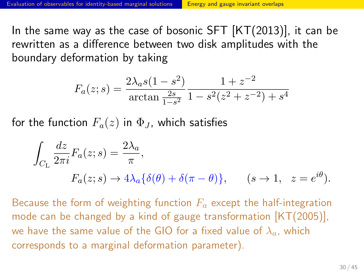In the same way as the case of bosonic SFT [KT(2013)], it can be rewritten as a difference between two disk amplitudes with the boundary deformation by taking

$$
F_a(z; s) = \frac{2\lambda_a s (1 - s^2)}{\arctan\frac{2s}{1 - s^2}} \frac{1 + z^{-2}}{1 - s^2 (z^2 + z^{-2}) + s^4}
$$

for the function  $F_a(z)$  in  $\Phi_J$ , which satisfies

$$
\int_{C_{\rm L}} \frac{dz}{2\pi i} F_a(z; s) = \frac{2\lambda_a}{\pi},
$$
  

$$
F_a(z; s) \to 4\lambda_a \{ \delta(\theta) + \delta(\pi - \theta) \}, \qquad (s \to 1, \ z = e^{i\theta}).
$$

Because the form of weighting function *F<sup>a</sup>* except the half-integration mode can be changed by a kind of gauge transformation [KT(2005)], we have the same value of the GIO for a fixed value of *λa*, which corresponds to a marginal deformation parameter).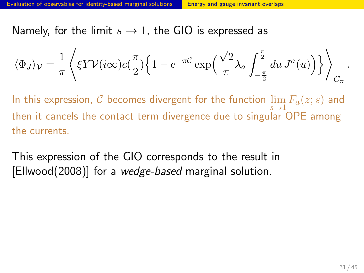Namely, for the limit  $s \to 1$ , the GIO is expressed as

$$
\langle \Phi_J \rangle_{\mathcal{V}} = \frac{1}{\pi} \left\langle \xi Y \mathcal{V}(i\infty) c(\frac{\pi}{2}) \left\{ 1 - e^{-\pi C} \exp\left(\frac{\sqrt{2}}{\pi} \lambda_a \int_{-\frac{\pi}{2}}^{\frac{\pi}{2}} du J^a(u) \right) \right\} \right\rangle_{C_{\pi}}
$$

In this expression,  $\mathcal C$  becomes divergent for the function  $\lim\limits_{\longrightarrow}F_a(z; s)$  and then it cancels the contact term divergence due to singular OPE among the currents.

This expression of the GIO corresponds to the result in [Ellwood(2008)] for a *wedge-based* marginal solution.

*.*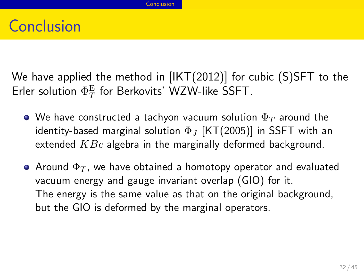## Conclusion

We have applied the method in [IKT(2012)] for cubic (S)SFT to the Erler solution  $\Phi_T^\mathrm{E}$  for Berkovits' WZW-like SSFT.

- We have constructed a tachyon vacuum solution Φ*<sup>T</sup>* around the identity-based marginal solution Φ*<sup>J</sup>* [KT(2005)] in SSFT with an extended *KBc* algebra in the marginally deformed background.
- $\bullet$  Around  $\Phi_T$ , we have obtained a homotopy operator and evaluated vacuum energy and gauge invariant overlap (GIO) for it. The energy is the same value as that on the original background, but the GIO is deformed by the marginal operators.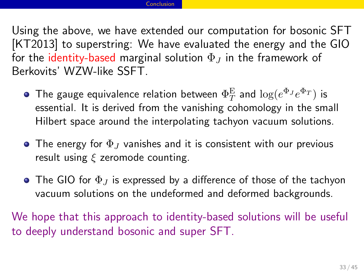Using the above, we have extended our computation for bosonic SFT [KT2013] to superstring: We have evaluated the energy and the GIO for the identity-based marginal solution  $\Phi_J$  in the framework of Berkovits' WZW-like SSFT.

- The gauge equivalence relation between  $\Phi_T^{\rm E}$  and  $\log(e^{\Phi_J}e^{\Phi_T})$  is essential. It is derived from the vanishing cohomology in the small Hilbert space around the interpolating tachyon vacuum solutions.
- The energy for Φ*<sup>J</sup>* vanishes and it is consistent with our previous result using *ξ* zeromode counting.
- The GIO for Φ*<sup>J</sup>* is expressed by a difference of those of the tachyon vacuum solutions on the undeformed and deformed backgrounds.

We hope that this approach to identity-based solutions will be useful to deeply understand bosonic and super SFT.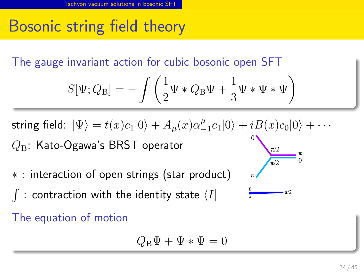## Bosonic string field theory

. The gauge invariant action for cubic bosonic open SFT

$$
S[\Psi; Q_{\rm B}] = -\int \left(\frac{1}{2}\Psi * Q_{\rm B}\Psi + \frac{1}{3}\Psi * \Psi * \Psi\right)
$$

 $\textsf{string field: } |\Psi\rangle = t(x)c_{1}|0\rangle + A_{\mu}(x)\alpha_{-}^{\mu}$  $\frac{\mu}{-1}c_1|0\rangle + iB(x)c_0|0\rangle + \cdots$ *Q*B: Kato-Ogawa's BRST operator  $\pi/2$ 

- *∗* : interaction of open strings (star product)
- ∫ : contraction with the identity state *⟨I|*

. The equation of motion

$$
Q_{\rm B}\Psi + \Psi*\Psi = 0
$$

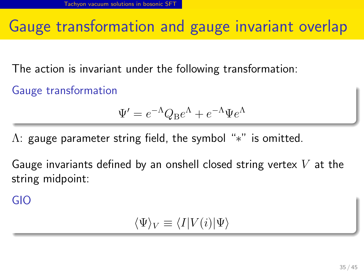#### Gauge transformation and gauge invariant overlap

The action is invariant under the following transformation:

. Gauge transformation ..

$$
\Psi' = e^{-\Lambda} Q_{\rm B} e^{\Lambda} + e^{-\Lambda} \Psi e^{\Lambda}
$$

Λ: gauge parameter string field, the symbol "*∗*" is omitted.

Gauge invariants defined by an onshell closed string vertex *V* at the string midpoint:

. GIO ..

$$
\langle \Psi \rangle_V \equiv \langle I | V(i) | \Psi \rangle
$$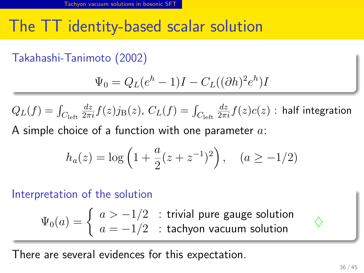### The TT identity-based scalar solution

. Takahashi-Tanimoto (2002) ..

$$
\Psi_0 = Q_L(e^h - 1)I - C_L((\partial h)^2 e^h)I
$$

$$
Q_L(f) = \int_{C_{\text{left}}} \frac{dz}{2\pi i} f(z) j_B(z), \ C_L(f) = \int_{C_{\text{left}}}\frac{dz}{2\pi i} f(z) c(z) \text{ : half integration}
$$
\nA simple choice of a function with one parameter *a*:

A simple choice of a function with one parameter *a*:

$$
h_a(z) = \log \left(1 + \frac{a}{2}(z + z^{-1})^2\right), \quad (a \ge -1/2)
$$

. Interpretation of the solution ..

$$
\Psi_0(a) = \begin{cases} a > -1/2 & \text{: trivial pure gauge solution} \\ a = -1/2 & \text{: tachyon vacuum solution} \end{cases}
$$

There are several evidences for this expectation.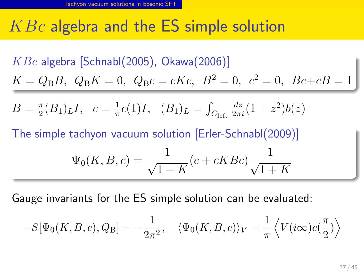#### *KBc* algebra and the ES simple solution

. *KBc* algebra [Schnabl(2005), Okawa(2006)] ..  $K = Q_B B$ ,  $Q_B K = 0$ ,  $Q_B c = c K c$ ,  $B^2 = 0$ ,  $c^2 = 0$ ,  $Bc + cB = 1$ .. .  $B=\frac{\pi}{2}$  $\frac{\pi}{2}(B_1)_L I$ ,  $c = \frac{1}{\pi}$  $\frac{1}{\pi}c(1)I, (B_1)_L = \int_{C_{\text{left}}}$  $\frac{dz}{2\pi i}(1+z^2)b(z)$ . The simple tachyon vacuum solution [Erler-Schnabl(2009)] .. .. .  $\Psi_0(K, B, c) = \frac{1}{\sqrt{1-\frac{c}{c}}}$  $1 + K$  $(c + cKBc)$ 1 *√*  $1 + K$ 

Gauge invariants for the ES simple solution can be evaluated:

$$
-S[\Psi_0(K,B,c),Q_{\rm B}]=-\frac{1}{2\pi^2},\quad \langle \Psi_0(K,B,c)\rangle_V=\frac{1}{\pi}\left\langle V(i\infty)c(\frac{\pi}{2})\right\rangle
$$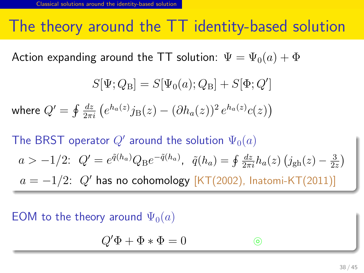#### The theory around the TT identity-based solution

Action expanding around the TT solution:  $\Psi = \Psi_0(a) + \Phi$ 

$$
S[\Psi; Q_{\rm B}] = S[\Psi_0(a); Q_{\rm B}] + S[\Phi; Q']
$$
  
where  $Q' = \oint \frac{dz}{2\pi i} (e^{h_a(z)}j_{\rm B}(z) - (\partial h_a(z))^2 e^{h_a(z)}c(z))$   
The BRST operator  $Q'$  around the solution  $\Psi_0(a)$   
 $a > -1/2$ :  $Q' = e^{\tilde{q}(h_a)}Q_{\rm B}e^{-\tilde{q}(h_a)}$ ,  $\tilde{q}(h_a) = \oint \frac{dz}{2\pi i}h_a(z) (j_{\rm gh}(z) - \frac{3}{2z})$   
 $a = -1/2$ :  $Q'$  has no cohomology  $[KT(2002), \text{ Inatomi-KT}(2011)]$ 

#### . EOM to the theory around  $\Psi_0(a)$

.

$$
Q'\Phi + \Phi * \Phi = 0
$$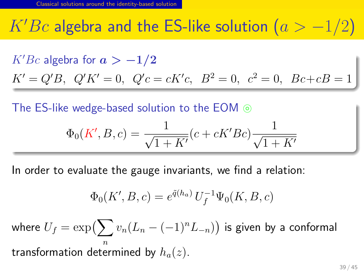## *K′Bc* algebra and the ES-like solution (*a > −*1*/*2)

. *K′Bc* algebra for *a > −***1***/***2** ..  $K' = Q'B$ ,  $Q'K' = 0$ ,  $Q'c = cK'c$ ,  $B^2 = 0$ ,  $c^2 = 0$ ,  $Bc + cB = 0$  $K' = Q'B$ ,  $Q'K' = 0$ ,  $Q'c = cK'c$ ,  $B^2 = 0$ ,  $c^2 = 0$ ,  $Bc + cB = 1$ 

. The ES-like wedge-based solution to the EOM  $\odot$ 

$$
\Phi_0(K', B, c) = \frac{1}{\sqrt{1 + K'}} (c + cK' Bc) \frac{1}{\sqrt{1 + K'}}
$$

In order to evaluate the gauge invariants, we find a relation:

$$
\Phi_0(K', B, c) = e^{\tilde{q}(h_a)} U_f^{-1} \Psi_0(K, B, c)
$$

where  $U_f = \exp\bigl(\sum v_n (L_n - (-1)^n L_{-n})\bigr)$  is given by a conformal *n* transformation determined by *ha*(*z*).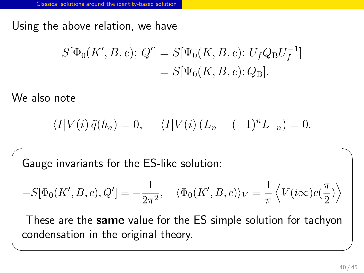Using the above relation, we have

$$
S[\Phi_0(K', B, c); Q'] = S[\Psi_0(K, B, c); U_f Q_B U_f^{-1}]
$$
  
= 
$$
S[\Psi_0(K, B, c); Q_B].
$$

We also note

$$
\langle I|V(i)\,\tilde{q}(h_a) = 0, \quad \langle I|V(i)\,(L_n - (-1)^n L_{-n}) = 0.
$$

 $\sqrt{2\pi}$ 

Gauge invariants for the ES-like solution:

$$
-S[\Phi_0(K',B,c),Q'] = -\frac{1}{2\pi^2}, \quad \langle \Phi_0(K',B,c) \rangle_V = \frac{1}{\pi} \left\langle V(i\infty)c(\frac{\pi}{2}) \right\rangle
$$

These are the **same** value for the ES simple solution for tachyon condensation in the original theory.

✒ ✑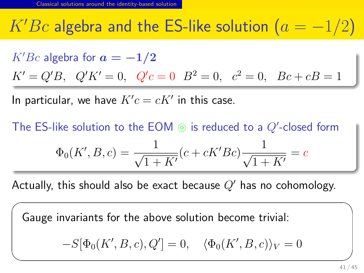## $K'Be$  algebra and the ES-like solution  $(a = -1/2)$

.  $K'Be$  algebra for  $a = -1/2$ ..  $K' = Q'B$ ,  $Q'K' = 0$ ,  $Q'c = 0$   $B^2 = 0$ ,  $c^2 = 0$ ,  $Bc + cB = 1$  $K' = Q'B$ ,  $Q'K' = 0$ ,  $Q'c = 0$   $B^2 = 0$ ,  $c^2 = 0$ ,  $Bc + cB = 1$ 

In particular, we have  $K^\prime c = c K^\prime$  in this case.

✒

. The ES-like solution to the EOM  $\circledcirc$  is reduced to a  $Q'$ -closed form

$$
\Phi_0(K', B, c) = \frac{1}{\sqrt{1 + K'}} (c + cK' Bc) \frac{1}{\sqrt{1 + K'}} = c
$$

Actually, this should also be exact because *Q′* has no cohomology.

Gauge invariants for the above solution become trivial:

$$
-S[\Phi_0(K', B, c), Q'] = 0, \quad \langle \Phi_0(K', B, c) \rangle_V = 0
$$

 $\sqrt{2\pi}$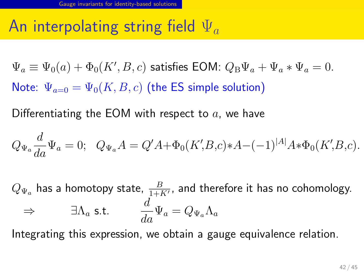## An interpolating string field Ψ*<sup>a</sup>*

 $\Psi_a \equiv \Psi_0(a) + \Phi_0(K', B, c)$  satisfies EOM:  $Q_B \Psi_a + \Psi_a * \Psi_a = 0$ . Note:  $\Psi_{a=0} = \Psi_0(K, B, c)$  (the ES simple solution)

Differentiating the EOM with respect to *a*, we have

$$
Q_{\Psi_a} \frac{d}{da} \Psi_a = 0; \quad Q_{\Psi_a} A = Q' A + \Phi_0(K', B, c) * A - (-1)^{|A|} A * \Phi_0(K', B, c).
$$

 $Q_{\Psi_a}$  has a homotopy state,  $\frac{B}{1+K'}$ , and therefore it has no cohomology.  $\Rightarrow$  ∃ $\Lambda_a$  s.t. *d*  $\frac{d}{da}\Psi_a = Q_{\Psi_a}\Lambda_a$ 

Integrating this expression, we obtain a gauge equivalence relation.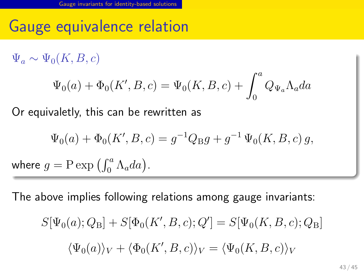Gauge equivalence relation

.  $\Psi_a \sim \Psi_0(K, B, c)$ 

$$
\Psi_0(a) + \Phi_0(K', B, c) = \Psi_0(K, B, c) + \int_0^a Q_{\Psi_a} \Lambda_a da
$$

Or equivaletly, this can be rewritten as

$$
\Psi_0(a) + \Phi_0(K', B, c) = g^{-1}Q_B g + g^{-1} \Psi_0(K, B, c) g,
$$
  
where  $g = \text{P} \exp \left( \int_0^a \Lambda_a da \right)$ .

The above implies following relations among gauge invariants:

$$
S[\Psi_0(a); Q_B] + S[\Phi_0(K', B, c); Q'] = S[\Psi_0(K, B, c); Q_B]
$$

$$
\langle \Psi_0(a) \rangle_V + \langle \Phi_0(K', B, c) \rangle_V = \langle \Psi_0(K, B, c) \rangle_V
$$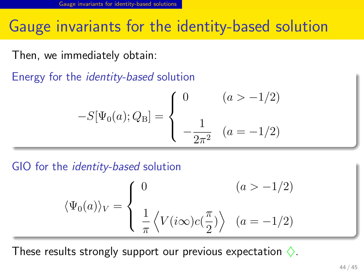#### Gauge invariants for the identity-based solution

Then, we immediately obtain:

. Energy for the *identity-based* solution ..

$$
-S[\Psi_0(a); Q_{\rm B}] = \begin{cases} 0 & (a > -1/2) \\ -\frac{1}{2\pi^2} & (a = -1/2) \end{cases}
$$

. GIO for the *identity-based* solution ..

$$
\langle \Psi_0(a) \rangle_V = \begin{cases} 0 & (a > -1/2) \\ \frac{1}{\pi} \langle V(i\infty)c(\frac{\pi}{2}) \rangle & (a = -1/2) \end{cases}
$$

These results strongly support our previous expectation *♢*.